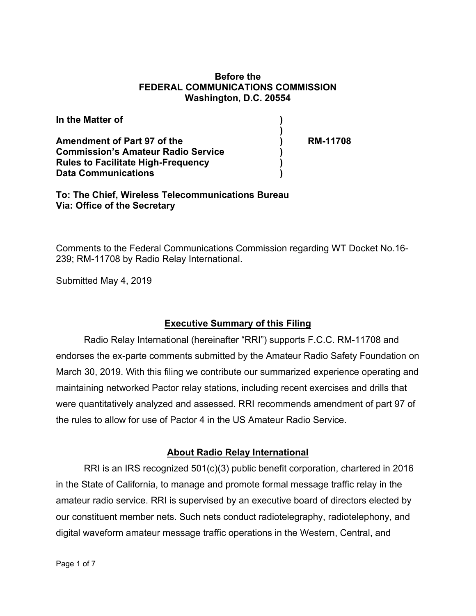### **Before the FEDERAL COMMUNICATIONS COMMISSION Washington, D.C. 20554**

| In the Matter of                          |                 |
|-------------------------------------------|-----------------|
|                                           |                 |
| Amendment of Part 97 of the               | <b>RM-11708</b> |
| <b>Commission's Amateur Radio Service</b> |                 |
| <b>Rules to Facilitate High-Frequency</b> |                 |
| <b>Data Communications</b>                |                 |

**To: The Chief, Wireless Telecommunications Bureau Via: Office of the Secretary**

Comments to the Federal Communications Commission regarding WT Docket No.16- 239; RM-11708 by Radio Relay International.

Submitted May 4, 2019

# **Executive Summary of this Filing**

 Radio Relay International (hereinafter "RRI") supports F.C.C. RM-11708 and endorses the ex-parte comments submitted by the Amateur Radio Safety Foundation on March 30, 2019. With this filing we contribute our summarized experience operating and maintaining networked Pactor relay stations, including recent exercises and drills that were quantitatively analyzed and assessed. RRI recommends amendment of part 97 of the rules to allow for use of Pactor 4 in the US Amateur Radio Service.

# **About Radio Relay International**

 RRI is an IRS recognized 501(c)(3) public benefit corporation, chartered in 2016 in the State of California, to manage and promote formal message traffic relay in the amateur radio service. RRI is supervised by an executive board of directors elected by our constituent member nets. Such nets conduct radiotelegraphy, radiotelephony, and digital waveform amateur message traffic operations in the Western, Central, and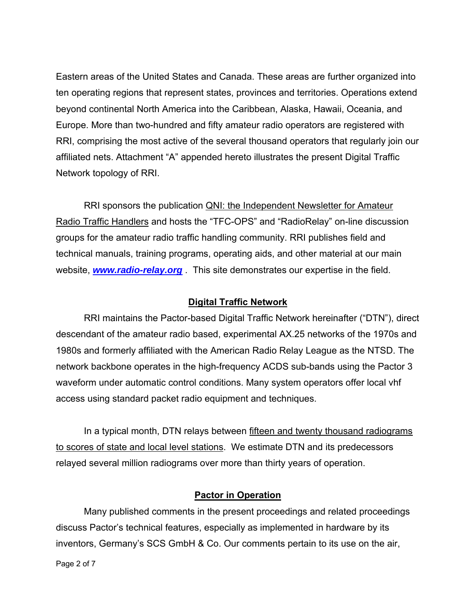Eastern areas of the United States and Canada. These areas are further organized into ten operating regions that represent states, provinces and territories. Operations extend beyond continental North America into the Caribbean, Alaska, Hawaii, Oceania, and Europe. More than two-hundred and fifty amateur radio operators are registered with RRI, comprising the most active of the several thousand operators that regularly join our affiliated nets. Attachment "A" appended hereto illustrates the present Digital Traffic Network topology of RRI.

 RRI sponsors the publication QNI: the Independent Newsletter for Amateur Radio Traffic Handlers and hosts the "TFC-OPS" and "RadioRelay" on-line discussion groups for the amateur radio traffic handling community. RRI publishes field and technical manuals, training programs, operating aids, and other material at our main website, *www.radio-relay.org* . This site demonstrates our expertise in the field.

# **Digital Traffic Network**

 RRI maintains the Pactor-based Digital Traffic Network hereinafter ("DTN"), direct descendant of the amateur radio based, experimental AX.25 networks of the 1970s and 1980s and formerly affiliated with the American Radio Relay League as the NTSD. The network backbone operates in the high-frequency ACDS sub-bands using the Pactor 3 waveform under automatic control conditions. Many system operators offer local vhf access using standard packet radio equipment and techniques.

In a typical month, DTN relays between fifteen and twenty thousand radiograms to scores of state and local level stations. We estimate DTN and its predecessors relayed several million radiograms over more than thirty years of operation.

#### **Pactor in Operation**

 Many published comments in the present proceedings and related proceedings discuss Pactor's technical features, especially as implemented in hardware by its inventors, Germany's SCS GmbH & Co. Our comments pertain to its use on the air,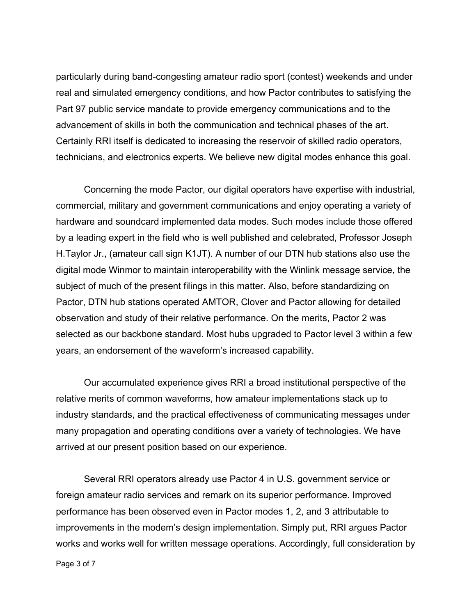particularly during band-congesting amateur radio sport (contest) weekends and under real and simulated emergency conditions, and how Pactor contributes to satisfying the Part 97 public service mandate to provide emergency communications and to the advancement of skills in both the communication and technical phases of the art. Certainly RRI itself is dedicated to increasing the reservoir of skilled radio operators, technicians, and electronics experts. We believe new digital modes enhance this goal.

 Concerning the mode Pactor, our digital operators have expertise with industrial, commercial, military and government communications and enjoy operating a variety of hardware and soundcard implemented data modes. Such modes include those offered by a leading expert in the field who is well published and celebrated, Professor Joseph H.Taylor Jr., (amateur call sign K1JT). A number of our DTN hub stations also use the digital mode Winmor to maintain interoperability with the Winlink message service, the subject of much of the present filings in this matter. Also, before standardizing on Pactor, DTN hub stations operated AMTOR, Clover and Pactor allowing for detailed observation and study of their relative performance. On the merits, Pactor 2 was selected as our backbone standard. Most hubs upgraded to Pactor level 3 within a few years, an endorsement of the waveform's increased capability.

 Our accumulated experience gives RRI a broad institutional perspective of the relative merits of common waveforms, how amateur implementations stack up to industry standards, and the practical effectiveness of communicating messages under many propagation and operating conditions over a variety of technologies. We have arrived at our present position based on our experience.

 Several RRI operators already use Pactor 4 in U.S. government service or foreign amateur radio services and remark on its superior performance. Improved performance has been observed even in Pactor modes 1, 2, and 3 attributable to improvements in the modem's design implementation. Simply put, RRI argues Pactor works and works well for written message operations. Accordingly, full consideration by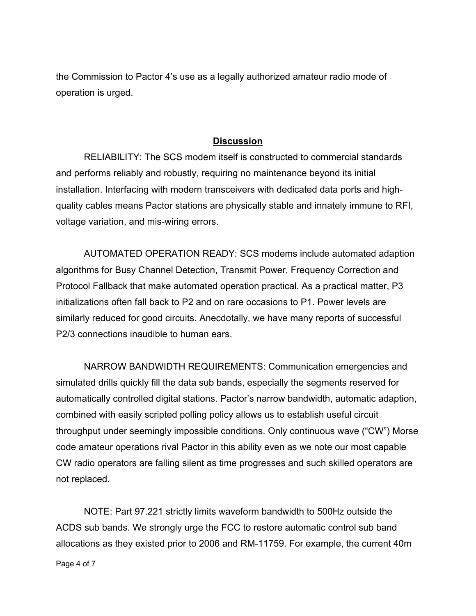the Commission to Pactor 4's use as a legally authorized amateur radio mode of operation is urged.

### **Discussion**

 RELIABILITY: The SCS modem itself is constructed to commercial standards and performs reliably and robustly, requiring no maintenance beyond its initial installation. Interfacing with modern transceivers with dedicated data ports and highquality cables means Pactor stations are physically stable and innately immune to RFI, voltage variation, and mis-wiring errors.

 AUTOMATED OPERATION READY: SCS modems include automated adaption algorithms for Busy Channel Detection, Transmit Power, Frequency Correction and Protocol Fallback that make automated operation practical. As a practical matter, P3 initializations often fall back to P2 and on rare occasions to P1. Power levels are similarly reduced for good circuits. Anecdotally, we have many reports of successful P2/3 connections inaudible to human ears.

 NARROW BANDWIDTH REQUIREMENTS: Communication emergencies and simulated drills quickly fill the data sub bands, especially the segments reserved for automatically controlled digital stations. Pactor's narrow bandwidth, automatic adaption, combined with easily scripted polling policy allows us to establish useful circuit throughput under seemingly impossible conditions. Only continuous wave ("CW") Morse code amateur operations rival Pactor in this ability even as we note our most capable CW radio operators are falling silent as time progresses and such skilled operators are not replaced.

 NOTE: Part 97.221 strictly limits waveform bandwidth to 500Hz outside the ACDS sub bands. We strongly urge the FCC to restore automatic control sub band allocations as they existed prior to 2006 and RM-11759. For example, the current 40m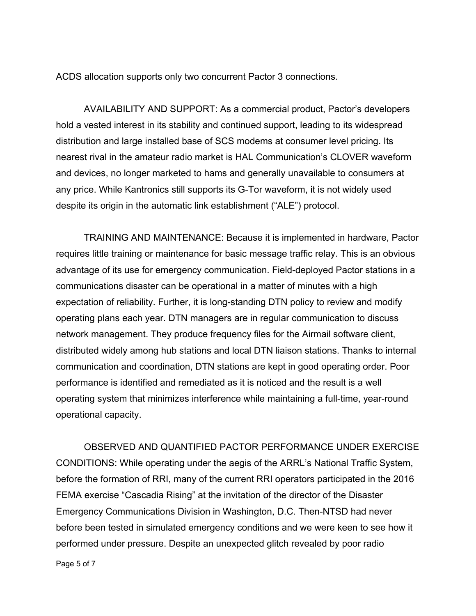ACDS allocation supports only two concurrent Pactor 3 connections.

 AVAILABILITY AND SUPPORT: As a commercial product, Pactor's developers hold a vested interest in its stability and continued support, leading to its widespread distribution and large installed base of SCS modems at consumer level pricing. Its nearest rival in the amateur radio market is HAL Communication's CLOVER waveform and devices, no longer marketed to hams and generally unavailable to consumers at any price. While Kantronics still supports its G-Tor waveform, it is not widely used despite its origin in the automatic link establishment ("ALE") protocol.

 TRAINING AND MAINTENANCE: Because it is implemented in hardware, Pactor requires little training or maintenance for basic message traffic relay. This is an obvious advantage of its use for emergency communication. Field-deployed Pactor stations in a communications disaster can be operational in a matter of minutes with a high expectation of reliability. Further, it is long-standing DTN policy to review and modify operating plans each year. DTN managers are in regular communication to discuss network management. They produce frequency files for the Airmail software client, distributed widely among hub stations and local DTN liaison stations. Thanks to internal communication and coordination, DTN stations are kept in good operating order. Poor performance is identified and remediated as it is noticed and the result is a well operating system that minimizes interference while maintaining a full-time, year-round operational capacity.

 OBSERVED AND QUANTIFIED PACTOR PERFORMANCE UNDER EXERCISE CONDITIONS: While operating under the aegis of the ARRL's National Traffic System, before the formation of RRI, many of the current RRI operators participated in the 2016 FEMA exercise "Cascadia Rising" at the invitation of the director of the Disaster Emergency Communications Division in Washington, D.C. Then-NTSD had never before been tested in simulated emergency conditions and we were keen to see how it performed under pressure. Despite an unexpected glitch revealed by poor radio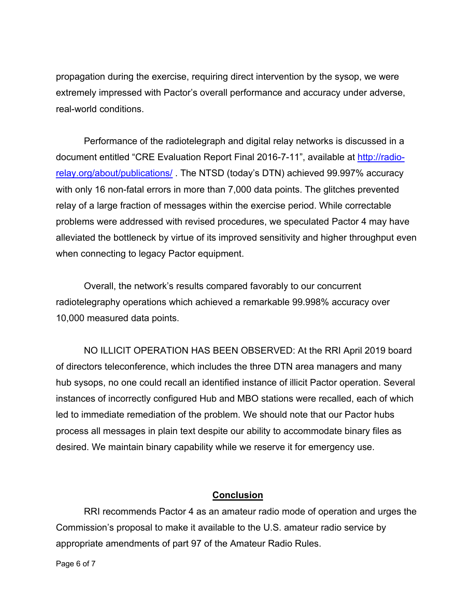propagation during the exercise, requiring direct intervention by the sysop, we were extremely impressed with Pactor's overall performance and accuracy under adverse, real-world conditions.

Performance of the radiotelegraph and digital relay networks is discussed in a document entitled "CRE Evaluation Report Final 2016-7-11", available at http://radiorelay.org/about/publications/ . The NTSD (today's DTN) achieved 99.997% accuracy with only 16 non-fatal errors in more than 7,000 data points. The glitches prevented relay of a large fraction of messages within the exercise period. While correctable problems were addressed with revised procedures, we speculated Pactor 4 may have alleviated the bottleneck by virtue of its improved sensitivity and higher throughput even when connecting to legacy Pactor equipment.

 Overall, the network's results compared favorably to our concurrent radiotelegraphy operations which achieved a remarkable 99.998% accuracy over 10,000 measured data points.

 NO ILLICIT OPERATION HAS BEEN OBSERVED: At the RRI April 2019 board of directors teleconference, which includes the three DTN area managers and many hub sysops, no one could recall an identified instance of illicit Pactor operation. Several instances of incorrectly configured Hub and MBO stations were recalled, each of which led to immediate remediation of the problem. We should note that our Pactor hubs process all messages in plain text despite our ability to accommodate binary files as desired. We maintain binary capability while we reserve it for emergency use.

# **Conclusion**

 RRI recommends Pactor 4 as an amateur radio mode of operation and urges the Commission's proposal to make it available to the U.S. amateur radio service by appropriate amendments of part 97 of the Amateur Radio Rules.

Page 6 of 7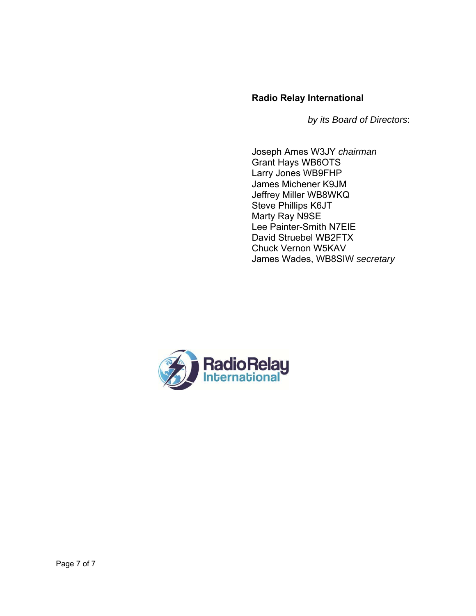# **Radio Relay International**

 *by its Board of Directors*:

Joseph Ames W3JY *chairman* Grant Hays WB6OTS Larry Jones WB9FHP James Michener K9JM Jeffrey Miller WB8WKQ Steve Phillips K6JT Marty Ray N9SE Lee Painter-Smith N7EIE David Struebel WB2FTX Chuck Vernon W5KAV James Wades, WB8SIW *secretary*